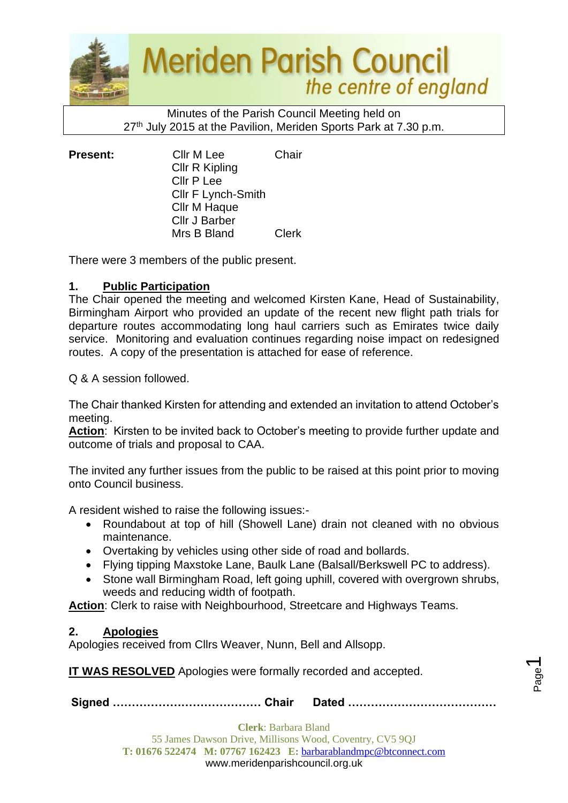

Minutes of the Parish Council Meeting held on 27<sup>th</sup> July 2015 at the Pavilion, Meriden Sports Park at 7.30 p.m.

**Present:** Cllr M Lee Chair Cllr R Kipling Cllr P Lee Cllr F Lynch-Smith Cllr M Haque Cllr J Barber Mrs B Bland Clerk

There were 3 members of the public present.

## **1. Public Participation**

The Chair opened the meeting and welcomed Kirsten Kane, Head of Sustainability, Birmingham Airport who provided an update of the recent new flight path trials for departure routes accommodating long haul carriers such as Emirates twice daily service. Monitoring and evaluation continues regarding noise impact on redesigned routes. A copy of the presentation is attached for ease of reference.

Q & A session followed.

The Chair thanked Kirsten for attending and extended an invitation to attend October's meeting.

**Action**: Kirsten to be invited back to October's meeting to provide further update and outcome of trials and proposal to CAA.

The invited any further issues from the public to be raised at this point prior to moving onto Council business.

A resident wished to raise the following issues:-

- Roundabout at top of hill (Showell Lane) drain not cleaned with no obvious maintenance.
- Overtaking by vehicles using other side of road and bollards.
- Flying tipping Maxstoke Lane, Baulk Lane (Balsall/Berkswell PC to address).
- Stone wall Birmingham Road, left going uphill, covered with overgrown shrubs, weeds and reducing width of footpath.

**Action**: Clerk to raise with Neighbourhood, Streetcare and Highways Teams.

### **2. Apologies**

Apologies received from Cllrs Weaver, Nunn, Bell and Allsopp.

**IT WAS RESOLVED** Apologies were formally recorded and accepted.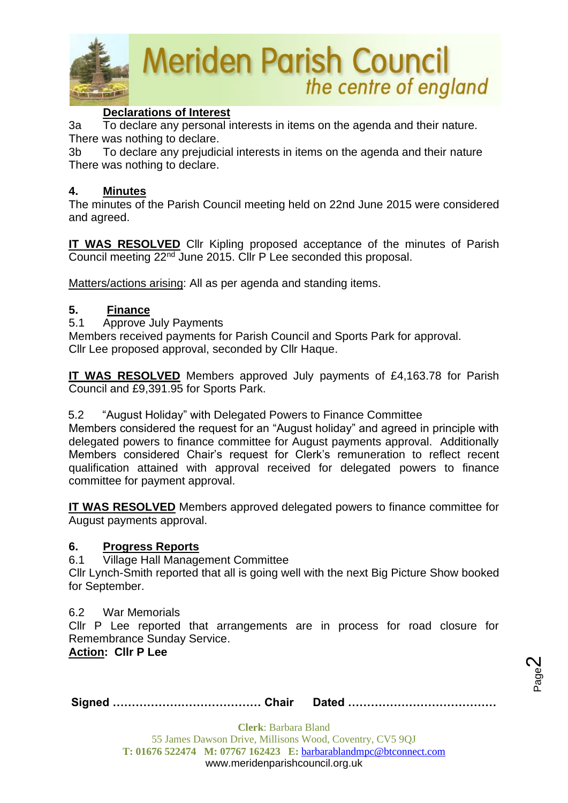

## **Declarations of Interest**

3a To declare any personal interests in items on the agenda and their nature. There was nothing to declare.

3b To declare any prejudicial interests in items on the agenda and their nature There was nothing to declare.

## **4. Minutes**

The minutes of the Parish Council meeting held on 22nd June 2015 were considered and agreed.

**IT WAS RESOLVED** Cllr Kipling proposed acceptance of the minutes of Parish Council meeting 22nd June 2015. Cllr P Lee seconded this proposal.

Matters/actions arising: All as per agenda and standing items.

## **5. Finance**

5.1 Approve July Payments

Members received payments for Parish Council and Sports Park for approval. Cllr Lee proposed approval, seconded by Cllr Haque.

**IT WAS RESOLVED** Members approved July payments of £4,163.78 for Parish Council and £9,391.95 for Sports Park.

5.2 "August Holiday" with Delegated Powers to Finance Committee

Members considered the request for an "August holiday" and agreed in principle with delegated powers to finance committee for August payments approval. Additionally Members considered Chair's request for Clerk's remuneration to reflect recent qualification attained with approval received for delegated powers to finance committee for payment approval.

**IT WAS RESOLVED** Members approved delegated powers to finance committee for August payments approval.

### **6. Progress Reports**

6.1 Village Hall Management Committee

Cllr Lynch-Smith reported that all is going well with the next Big Picture Show booked for September.

### 6.2 War Memorials

Cllr P Lee reported that arrangements are in process for road closure for Remembrance Sunday Service.

**Action: Cllr P Lee**

**Signed ………………………………… Chair Dated …………………………………**

Page  $\boldsymbol{\sim}$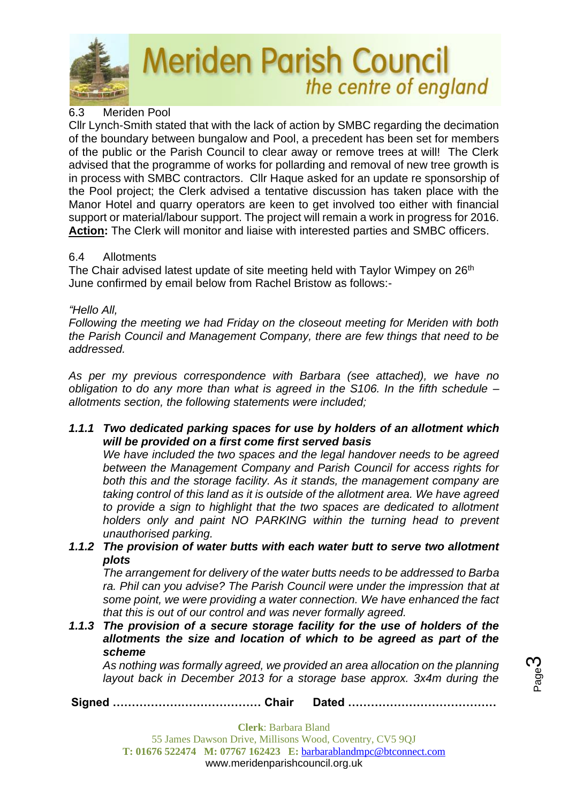

## 6.3 Meriden Pool

Cllr Lynch-Smith stated that with the lack of action by SMBC regarding the decimation of the boundary between bungalow and Pool, a precedent has been set for members of the public or the Parish Council to clear away or remove trees at will! The Clerk advised that the programme of works for pollarding and removal of new tree growth is in process with SMBC contractors. Cllr Haque asked for an update re sponsorship of the Pool project; the Clerk advised a tentative discussion has taken place with the Manor Hotel and quarry operators are keen to get involved too either with financial support or material/labour support. The project will remain a work in progress for 2016. **Action:** The Clerk will monitor and liaise with interested parties and SMBC officers.

## 6.4 Allotments

The Chair advised latest update of site meeting held with Taylor Wimpey on 26<sup>th</sup> June confirmed by email below from Rachel Bristow as follows:-

## *"Hello All,*

*Following the meeting we had Friday on the closeout meeting for Meriden with both the Parish Council and Management Company, there are few things that need to be addressed.*

*As per my previous correspondence with Barbara (see attached), we have no obligation to do any more than what is agreed in the S106. In the fifth schedule – allotments section, the following statements were included;*

*1.1.1 Two dedicated parking spaces for use by holders of an allotment which will be provided on a first come first served basis*

*We have included the two spaces and the legal handover needs to be agreed between the Management Company and Parish Council for access rights for both this and the storage facility. As it stands, the management company are taking control of this land as it is outside of the allotment area. We have agreed to provide a sign to highlight that the two spaces are dedicated to allotment holders only and paint NO PARKING within the turning head to prevent unauthorised parking.*

*1.1.2 The provision of water butts with each water butt to serve two allotment plots*

*The arrangement for delivery of the water butts needs to be addressed to Barba ra. Phil can you advise? The Parish Council were under the impression that at some point, we were providing a water connection. We have enhanced the fact that this is out of our control and was never formally agreed.*

*1.1.3 The provision of a secure storage facility for the use of holders of the allotments the size and location of which to be agreed as part of the scheme*

*As nothing was formally agreed, we provided an area allocation on the planning layout back in December 2013 for a storage base approx. 3x4m during the*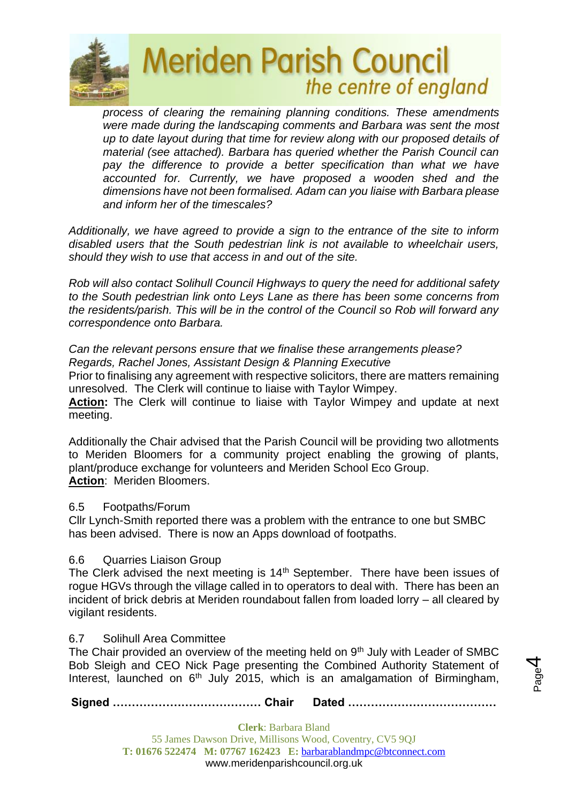

*process of clearing the remaining planning conditions. These amendments were made during the landscaping comments and Barbara was sent the most up to date layout during that time for review along with our proposed details of material (see attached). Barbara has queried whether the Parish Council can*  pay the difference to provide a better specification than what we have *accounted for. Currently, we have proposed a wooden shed and the dimensions have not been formalised. Adam can you liaise with Barbara please and inform her of the timescales?*

*Additionally, we have agreed to provide a sign to the entrance of the site to inform disabled users that the South pedestrian link is not available to wheelchair users, should they wish to use that access in and out of the site.*

*Rob will also contact Solihull Council Highways to query the need for additional safety to the South pedestrian link onto Leys Lane as there has been some concerns from the residents/parish. This will be in the control of the Council so Rob will forward any correspondence onto Barbara.*

*Can the relevant persons ensure that we finalise these arrangements please? Regards, Rachel Jones, Assistant Design & Planning Executive* 

Prior to finalising any agreement with respective solicitors, there are matters remaining unresolved. The Clerk will continue to liaise with Taylor Wimpey.

**Action:** The Clerk will continue to liaise with Taylor Wimpey and update at next meeting.

Additionally the Chair advised that the Parish Council will be providing two allotments to Meriden Bloomers for a community project enabling the growing of plants, plant/produce exchange for volunteers and Meriden School Eco Group. **Action**: Meriden Bloomers.

## 6.5 Footpaths/Forum

Cllr Lynch-Smith reported there was a problem with the entrance to one but SMBC has been advised. There is now an Apps download of footpaths.

### 6.6 Quarries Liaison Group

The Clerk advised the next meeting is 14<sup>th</sup> September. There have been issues of rogue HGVs through the village called in to operators to deal with. There has been an incident of brick debris at Meriden roundabout fallen from loaded lorry – all cleared by vigilant residents.

### 6.7 Solihull Area Committee

The Chair provided an overview of the meeting held on 9<sup>th</sup> July with Leader of SMBC Bob Sleigh and CEO Nick Page presenting the Combined Authority Statement of Interest, launched on  $6<sup>th</sup>$  July 2015, which is an amalgamation of Birmingham,

Page 4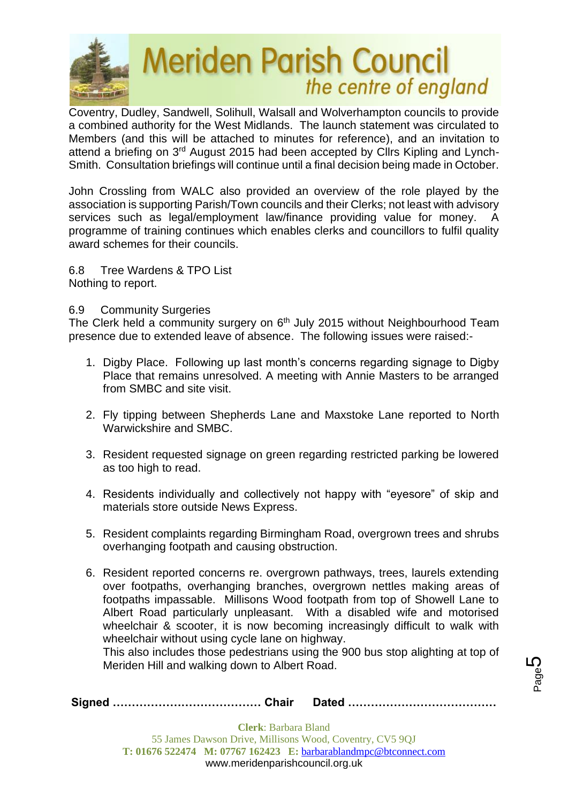

Coventry, Dudley, Sandwell, Solihull, Walsall and Wolverhampton councils to provide a combined authority for the West Midlands. The launch statement was circulated to Members (and this will be attached to minutes for reference), and an invitation to attend a briefing on 3rd August 2015 had been accepted by Cllrs Kipling and Lynch-Smith. Consultation briefings will continue until a final decision being made in October.

John Crossling from WALC also provided an overview of the role played by the association is supporting Parish/Town councils and their Clerks; not least with advisory services such as legal/employment law/finance providing value for money. A programme of training continues which enables clerks and councillors to fulfil quality award schemes for their councils.

6.8 Tree Wardens & TPO List Nothing to report.

#### 6.9 Community Surgeries

The Clerk held a community surgery on 6<sup>th</sup> July 2015 without Neighbourhood Team presence due to extended leave of absence. The following issues were raised:-

- 1. Digby Place. Following up last month's concerns regarding signage to Digby Place that remains unresolved. A meeting with Annie Masters to be arranged from SMBC and site visit.
- 2. Fly tipping between Shepherds Lane and Maxstoke Lane reported to North Warwickshire and SMBC.
- 3. Resident requested signage on green regarding restricted parking be lowered as too high to read.
- 4. Residents individually and collectively not happy with "eyesore" of skip and materials store outside News Express.
- 5. Resident complaints regarding Birmingham Road, overgrown trees and shrubs overhanging footpath and causing obstruction.
- 6. Resident reported concerns re. overgrown pathways, trees, laurels extending over footpaths, overhanging branches, overgrown nettles making areas of footpaths impassable. Millisons Wood footpath from top of Showell Lane to Albert Road particularly unpleasant. With a disabled wife and motorised wheelchair & scooter, it is now becoming increasingly difficult to walk with wheelchair without using cycle lane on highway.

This also includes those pedestrians using the 900 bus stop alighting at top of Meriden Hill and walking down to Albert Road.

Page 5

| <b>Clerk:</b> Barbara Bland |  |  |  |
|-----------------------------|--|--|--|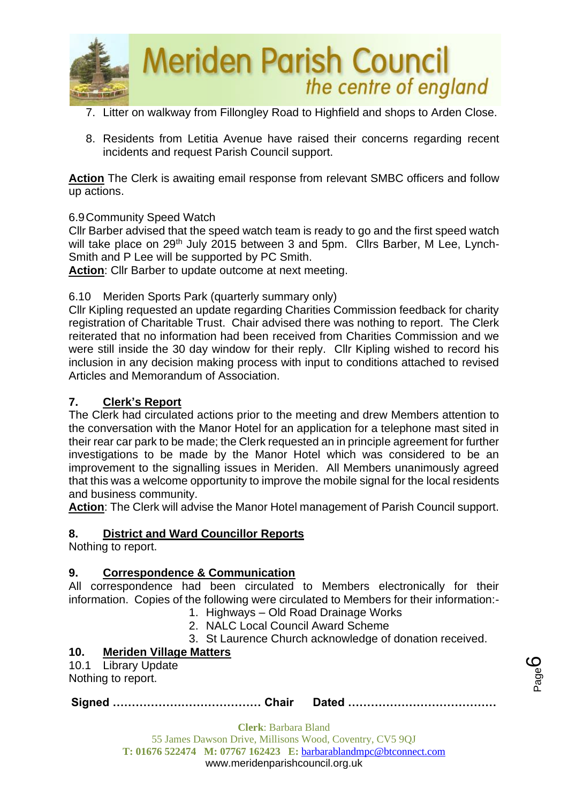

- 7. Litter on walkway from Fillongley Road to Highfield and shops to Arden Close.
- 8. Residents from Letitia Avenue have raised their concerns regarding recent incidents and request Parish Council support.

**Action** The Clerk is awaiting email response from relevant SMBC officers and follow up actions.

### 6.9Community Speed Watch

Cllr Barber advised that the speed watch team is ready to go and the first speed watch will take place on 29<sup>th</sup> July 2015 between 3 and 5pm. Cllrs Barber, M Lee, Lynch-Smith and P Lee will be supported by PC Smith.

**Action**: Cllr Barber to update outcome at next meeting.

### 6.10 Meriden Sports Park (quarterly summary only)

Cllr Kipling requested an update regarding Charities Commission feedback for charity registration of Charitable Trust. Chair advised there was nothing to report. The Clerk reiterated that no information had been received from Charities Commission and we were still inside the 30 day window for their reply. Cllr Kipling wished to record his inclusion in any decision making process with input to conditions attached to revised Articles and Memorandum of Association.

### **7. Clerk's Report**

The Clerk had circulated actions prior to the meeting and drew Members attention to the conversation with the Manor Hotel for an application for a telephone mast sited in their rear car park to be made; the Clerk requested an in principle agreement for further investigations to be made by the Manor Hotel which was considered to be an improvement to the signalling issues in Meriden. All Members unanimously agreed that this was a welcome opportunity to improve the mobile signal for the local residents and business community.

**Action**: The Clerk will advise the Manor Hotel management of Parish Council support.

### **8. District and Ward Councillor Reports**

Nothing to report.

### **9. Correspondence & Communication**

All correspondence had been circulated to Members electronically for their information. Copies of the following were circulated to Members for their information:-

- 1. Highways Old Road Drainage Works
- 2. NALC Local Council Award Scheme
- 3. St Laurence Church acknowledge of donation received.

## **10. Meriden Village Matters**

10.1 Library Update

Nothing to report.

**Signed ………………………………… Chair Dated …………………………………**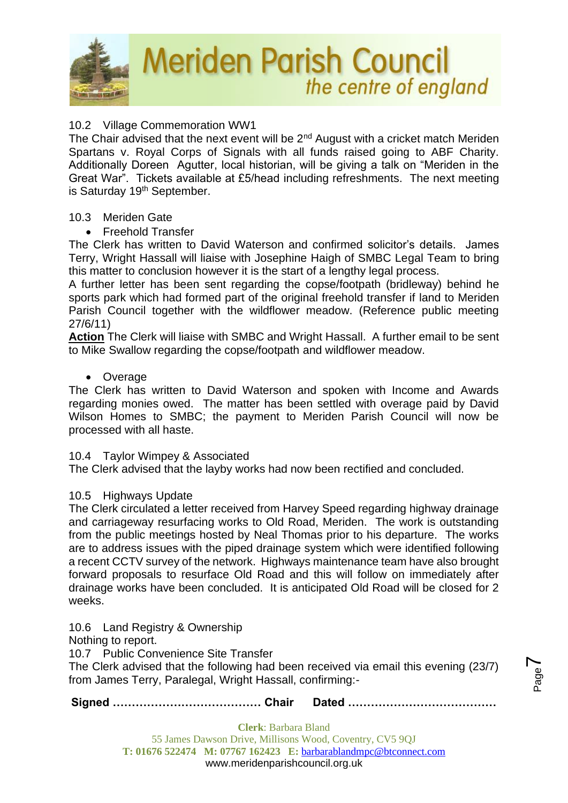

## 10.2 Village Commemoration WW1

The Chair advised that the next event will be 2<sup>nd</sup> August with a cricket match Meriden Spartans v. Royal Corps of Signals with all funds raised going to ABF Charity. Additionally Doreen Agutter, local historian, will be giving a talk on "Meriden in the Great War". Tickets available at £5/head including refreshments. The next meeting is Saturday 19<sup>th</sup> September.

#### 10.3 Meriden Gate

• Freehold Transfer

The Clerk has written to David Waterson and confirmed solicitor's details. James Terry, Wright Hassall will liaise with Josephine Haigh of SMBC Legal Team to bring this matter to conclusion however it is the start of a lengthy legal process.

A further letter has been sent regarding the copse/footpath (bridleway) behind he sports park which had formed part of the original freehold transfer if land to Meriden Parish Council together with the wildflower meadow. (Reference public meeting 27/6/11)

**Action** The Clerk will liaise with SMBC and Wright Hassall. A further email to be sent to Mike Swallow regarding the copse/footpath and wildflower meadow.

#### • Overage

The Clerk has written to David Waterson and spoken with Income and Awards regarding monies owed. The matter has been settled with overage paid by David Wilson Homes to SMBC; the payment to Meriden Parish Council will now be processed with all haste.

#### 10.4 Taylor Wimpey & Associated

The Clerk advised that the layby works had now been rectified and concluded.

#### 10.5 Highways Update

The Clerk circulated a letter received from Harvey Speed regarding highway drainage and carriageway resurfacing works to Old Road, Meriden. The work is outstanding from the public meetings hosted by Neal Thomas prior to his departure. The works are to address issues with the piped drainage system which were identified following a recent CCTV survey of the network. Highways maintenance team have also brought forward proposals to resurface Old Road and this will follow on immediately after drainage works have been concluded. It is anticipated Old Road will be closed for 2 weeks.

10.6 Land Registry & Ownership

Nothing to report.

10.7 Public Convenience Site Transfer

The Clerk advised that the following had been received via email this evening (23/7) from James Terry, Paralegal, Wright Hassall, confirming:-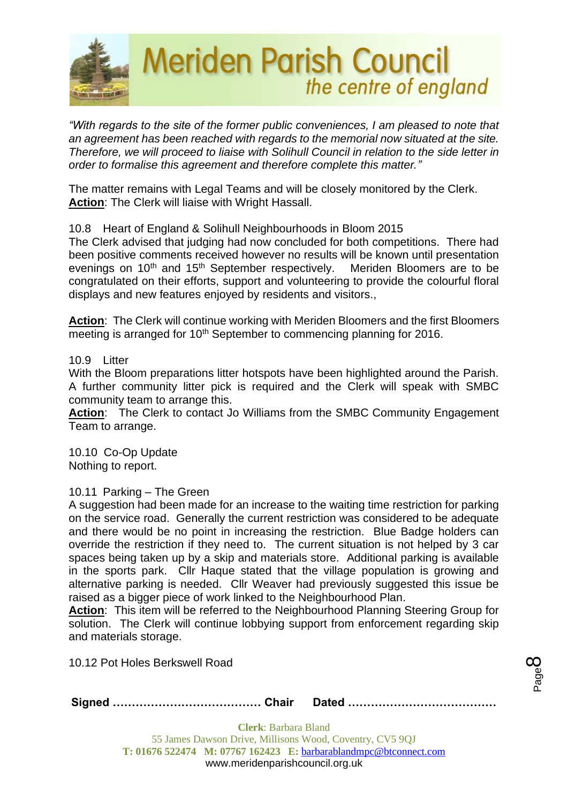

*"With regards to the site of the former public conveniences, I am pleased to note that an agreement has been reached with regards to the memorial now situated at the site. Therefore, we will proceed to liaise with Solihull Council in relation to the side letter in order to formalise this agreement and therefore complete this matter."*

The matter remains with Legal Teams and will be closely monitored by the Clerk. **Action**: The Clerk will liaise with Wright Hassall.

### 10.8 Heart of England & Solihull Neighbourhoods in Bloom 2015

The Clerk advised that judging had now concluded for both competitions. There had been positive comments received however no results will be known until presentation evenings on 10<sup>th</sup> and 15<sup>th</sup> September respectively. Meriden Bloomers are to be congratulated on their efforts, support and volunteering to provide the colourful floral displays and new features enjoyed by residents and visitors.,

**Action**: The Clerk will continue working with Meriden Bloomers and the first Bloomers meeting is arranged for 10<sup>th</sup> September to commencing planning for 2016.

#### 10.9 Litter

With the Bloom preparations litter hotspots have been highlighted around the Parish. A further community litter pick is required and the Clerk will speak with SMBC community team to arrange this.

**Action**: The Clerk to contact Jo Williams from the SMBC Community Engagement Team to arrange.

10.10 Co-Op Update Nothing to report.

### 10.11 Parking – The Green

A suggestion had been made for an increase to the waiting time restriction for parking on the service road. Generally the current restriction was considered to be adequate and there would be no point in increasing the restriction. Blue Badge holders can override the restriction if they need to. The current situation is not helped by 3 car spaces being taken up by a skip and materials store. Additional parking is available in the sports park. Cllr Haque stated that the village population is growing and alternative parking is needed. Cllr Weaver had previously suggested this issue be raised as a bigger piece of work linked to the Neighbourhood Plan.

**Action**: This item will be referred to the Neighbourhood Planning Steering Group for solution. The Clerk will continue lobbying support from enforcement regarding skip and materials storage.

10.12 Pot Holes Berkswell Road

|--|--|--|

Page  $\infty$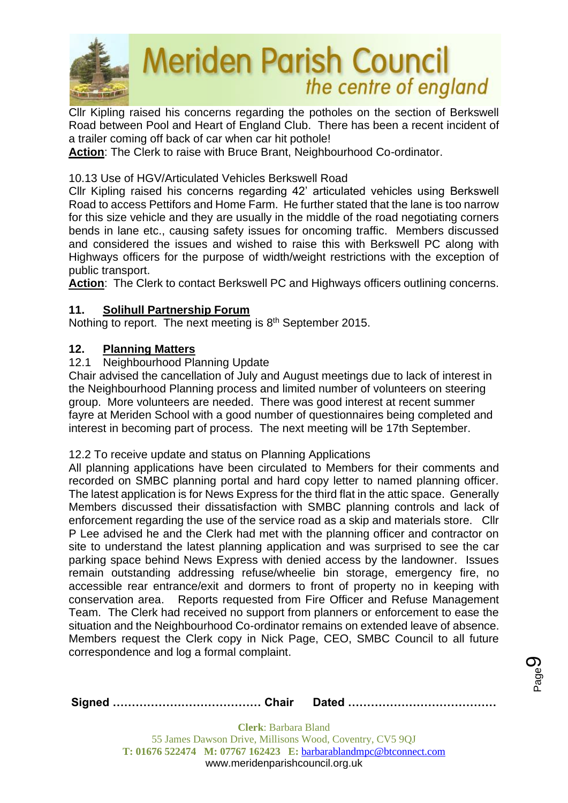

Cllr Kipling raised his concerns regarding the potholes on the section of Berkswell Road between Pool and Heart of England Club. There has been a recent incident of a trailer coming off back of car when car hit pothole!

**Action**: The Clerk to raise with Bruce Brant, Neighbourhood Co-ordinator.

## 10.13 Use of HGV/Articulated Vehicles Berkswell Road

Cllr Kipling raised his concerns regarding 42' articulated vehicles using Berkswell Road to access Pettifors and Home Farm. He further stated that the lane is too narrow for this size vehicle and they are usually in the middle of the road negotiating corners bends in lane etc., causing safety issues for oncoming traffic. Members discussed and considered the issues and wished to raise this with Berkswell PC along with Highways officers for the purpose of width/weight restrictions with the exception of public transport.

**Action**: The Clerk to contact Berkswell PC and Highways officers outlining concerns.

## **11. Solihull Partnership Forum**

Nothing to report. The next meeting is 8<sup>th</sup> September 2015.

## **12. Planning Matters**

## 12.1 Neighbourhood Planning Update

Chair advised the cancellation of July and August meetings due to lack of interest in the Neighbourhood Planning process and limited number of volunteers on steering group. More volunteers are needed. There was good interest at recent summer fayre at Meriden School with a good number of questionnaires being completed and interest in becoming part of process. The next meeting will be 17th September.

### 12.2 To receive update and status on Planning Applications

All planning applications have been circulated to Members for their comments and recorded on SMBC planning portal and hard copy letter to named planning officer. The latest application is for News Express for the third flat in the attic space. Generally Members discussed their dissatisfaction with SMBC planning controls and lack of enforcement regarding the use of the service road as a skip and materials store. Cllr P Lee advised he and the Clerk had met with the planning officer and contractor on site to understand the latest planning application and was surprised to see the car parking space behind News Express with denied access by the landowner. Issues remain outstanding addressing refuse/wheelie bin storage, emergency fire, no accessible rear entrance/exit and dormers to front of property no in keeping with conservation area. Reports requested from Fire Officer and Refuse Management Team. The Clerk had received no support from planners or enforcement to ease the situation and the Neighbourhood Co-ordinator remains on extended leave of absence. Members request the Clerk copy in Nick Page, CEO, SMBC Council to all future correspondence and log a formal complaint.

Page ග